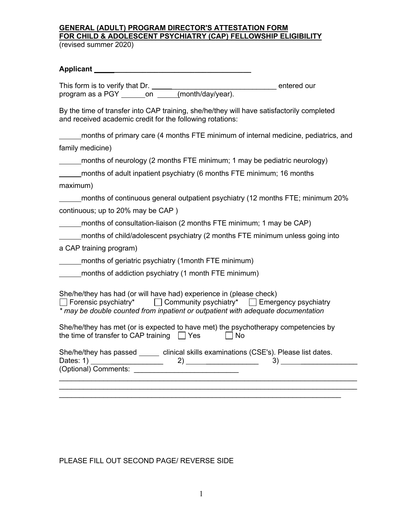## **GENERAL (ADULT) PROGRAM DIRECTOR'S ATTESTATION FORM FOR CHILD & ADOLESCENT PSYCHIATRY (CAP) FELLOWSHIP ELIGIBILITY** (revised summer 2020)

## **Applicant \_\_\_\_\_\_\_\_\_\_\_\_\_\_\_\_\_\_\_\_\_\_\_\_\_\_\_\_\_\_\_\_\_\_**

This form is to verify that Dr. \_\_\_\_\_\_\_\_\_\_\_\_\_\_\_\_\_\_\_\_\_\_\_\_\_\_ entered our program as a PGY on (month/day/year).

By the time of transfer into CAP training, she/he/they will have satisfactorily completed and received academic credit for the following rotations:

months of primary care (4 months FTE minimum of internal medicine, pediatrics, and family medicine)

months of neurology (2 months FTE minimum; 1 may be pediatric neurology)

| months of adult inpatient psychiatry (6 months FTE minimum; 16 months |
|-----------------------------------------------------------------------|
|-----------------------------------------------------------------------|

maximum)

months of continuous general outpatient psychiatry (12 months FTE; minimum 20% continuous; up to 20% may be CAP )

months of consultation-liaison (2 months FTE minimum; 1 may be CAP)

months of child/adolescent psychiatry (2 months FTE minimum unless going into

a CAP training program)

months of geriatric psychiatry (1month FTE minimum)

months of addiction psychiatry (1 month FTE minimum)

She/he/they has had (or will have had) experience in (please check)

 $\Box$  Forensic psychiatry\*  $\Box$  Community psychiatry\*  $\Box$  Emergency psychiatry *\* may be double counted from inpatient or outpatient with adequate documentation*

She/he/they has met (or is expected to have met) the psychotherapy competencies by the time of transfer to CAP training  $\Box$  Yes  $\Box$  No

| She/he/they has passed | clinical skills examinations (CSE's). Please list dates. |  |  |
|------------------------|----------------------------------------------------------|--|--|
| Dates: 1)              |                                                          |  |  |
| (Optional) Comments:   |                                                          |  |  |
|                        |                                                          |  |  |

 $\mathcal{L}_\text{max} = \mathcal{L}_\text{max} = \mathcal{L}_\text{max} = \mathcal{L}_\text{max} = \mathcal{L}_\text{max} = \mathcal{L}_\text{max} = \mathcal{L}_\text{max} = \mathcal{L}_\text{max} = \mathcal{L}_\text{max} = \mathcal{L}_\text{max} = \mathcal{L}_\text{max} = \mathcal{L}_\text{max} = \mathcal{L}_\text{max} = \mathcal{L}_\text{max} = \mathcal{L}_\text{max} = \mathcal{L}_\text{max} = \mathcal{L}_\text{max} = \mathcal{L}_\text{max} = \mathcal{$ \_\_\_\_\_\_\_\_\_\_\_\_\_\_\_\_\_\_\_\_\_\_\_\_\_\_\_\_\_\_\_\_\_\_\_\_\_\_\_\_\_\_\_\_\_\_\_\_\_\_\_\_\_\_\_\_\_\_\_\_\_\_\_\_\_\_\_\_\_\_

PLEASE FILL OUT SECOND PAGE/ REVERSE SIDE